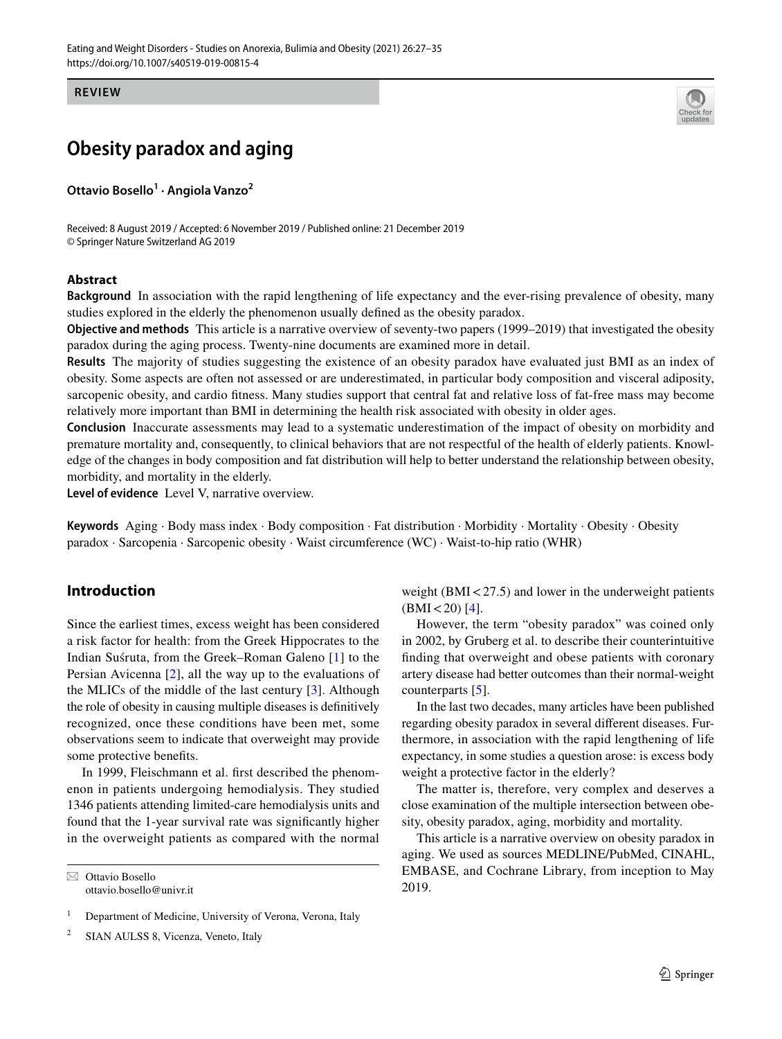**REVIEW**

# **Obesity paradox and aging**

**Ottavio Bosello1 · Angiola Vanzo<sup>2</sup>**

Received: 8 August 2019 / Accepted: 6 November 2019 / Published online: 21 December 2019 © Springer Nature Switzerland AG 2019

# **Abstract**

**Background** In association with the rapid lengthening of life expectancy and the ever-rising prevalence of obesity, many studies explored in the elderly the phenomenon usually defned as the obesity paradox.

**Objective and methods** This article is a narrative overview of seventy-two papers (1999–2019) that investigated the obesity paradox during the aging process. Twenty-nine documents are examined more in detail.

**Results** The majority of studies suggesting the existence of an obesity paradox have evaluated just BMI as an index of obesity. Some aspects are often not assessed or are underestimated, in particular body composition and visceral adiposity, sarcopenic obesity, and cardio ftness. Many studies support that central fat and relative loss of fat-free mass may become relatively more important than BMI in determining the health risk associated with obesity in older ages.

**Conclusion** Inaccurate assessments may lead to a systematic underestimation of the impact of obesity on morbidity and premature mortality and, consequently, to clinical behaviors that are not respectful of the health of elderly patients. Knowledge of the changes in body composition and fat distribution will help to better understand the relationship between obesity, morbidity, and mortality in the elderly.

**Level of evidence** Level V, narrative overview.

**Keywords** Aging · Body mass index · Body composition · Fat distribution · Morbidity · Mortality · Obesity · Obesity paradox · Sarcopenia · Sarcopenic obesity · Waist circumference (WC) · Waist-to-hip ratio (WHR)

# **Introduction**

Since the earliest times, excess weight has been considered a risk factor for health: from the Greek Hippocrates to the Indian Suśruta, from the Greek–Roman Galeno [[1](#page-6-0)] to the Persian Avicenna [\[2](#page-6-1)], all the way up to the evaluations of the MLICs of the middle of the last century [[3\]](#page-7-0). Although the role of obesity in causing multiple diseases is defnitively recognized, once these conditions have been met, some observations seem to indicate that overweight may provide some protective benefts.

In 1999, Fleischmann et al. frst described the phenomenon in patients undergoing hemodialysis. They studied 1346 patients attending limited-care hemodialysis units and found that the 1-year survival rate was signifcantly higher in the overweight patients as compared with the normal

 $\boxtimes$  Ottavio Bosello ottavio.bosello@univr.it

<sup>2</sup> SIAN AULSS 8, Vicenza, Veneto, Italy

weight ( $BMI < 27.5$ ) and lower in the underweight patients  $(BMI < 20)$  [\[4](#page-7-1)].

However, the term "obesity paradox" was coined only in 2002, by Gruberg et al. to describe their counterintuitive fnding that overweight and obese patients with coronary artery disease had better outcomes than their normal-weight counterparts [\[5\]](#page-7-2).

In the last two decades, many articles have been published regarding obesity paradox in several diferent diseases. Furthermore, in association with the rapid lengthening of life expectancy, in some studies a question arose: is excess body weight a protective factor in the elderly?

The matter is, therefore, very complex and deserves a close examination of the multiple intersection between obesity, obesity paradox, aging, morbidity and mortality.

This article is a narrative overview on obesity paradox in aging. We used as sources MEDLINE/PubMed, CINAHL, EMBASE, and Cochrane Library, from inception to May 2019.

<sup>&</sup>lt;sup>1</sup> Department of Medicine, University of Verona, Verona, Italy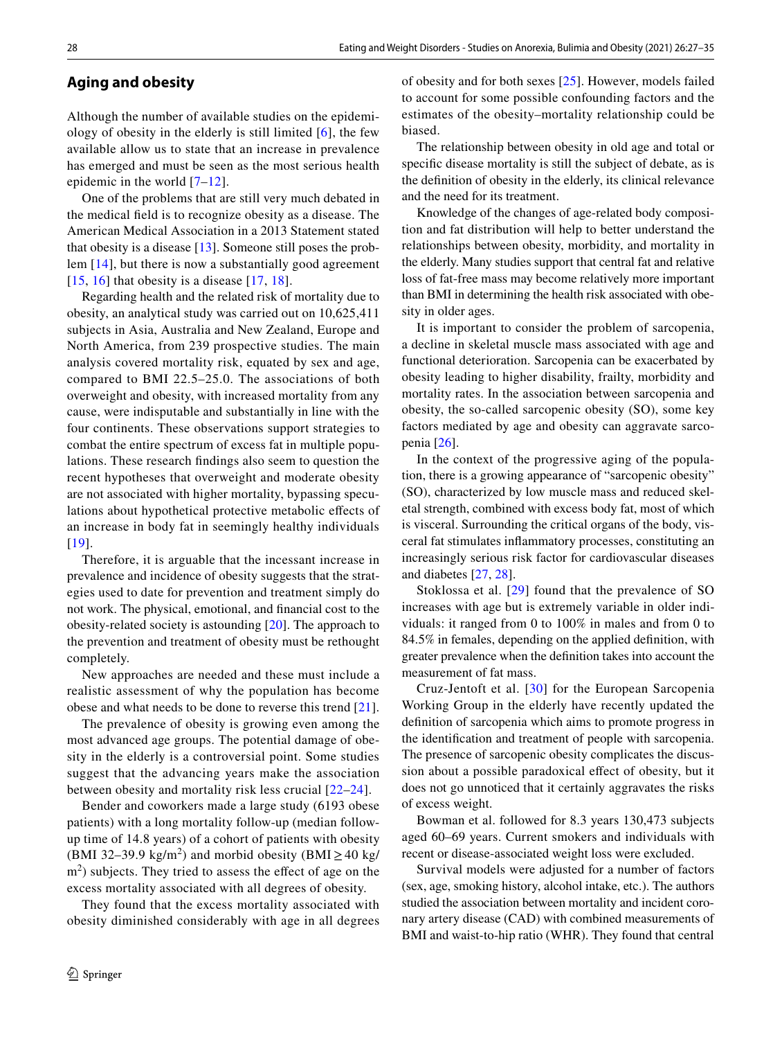#### **Aging and obesity**

Although the number of available studies on the epidemiology of obesity in the elderly is still limited  $[6]$  $[6]$ , the few available allow us to state that an increase in prevalence has emerged and must be seen as the most serious health epidemic in the world [[7](#page-7-4)[–12\]](#page-7-5).

One of the problems that are still very much debated in the medical feld is to recognize obesity as a disease. The American Medical Association in a 2013 Statement stated that obesity is a disease [\[13\]](#page-7-6). Someone still poses the problem [[14\]](#page-7-7), but there is now a substantially good agreement  $[15, 16]$  $[15, 16]$  $[15, 16]$  that obesity is a disease  $[17, 18]$  $[17, 18]$  $[17, 18]$  $[17, 18]$ .

Regarding health and the related risk of mortality due to obesity, an analytical study was carried out on 10,625,411 subjects in Asia, Australia and New Zealand, Europe and North America, from 239 prospective studies. The main analysis covered mortality risk, equated by sex and age, compared to BMI 22.5–25.0. The associations of both overweight and obesity, with increased mortality from any cause, were indisputable and substantially in line with the four continents. These observations support strategies to combat the entire spectrum of excess fat in multiple populations. These research fndings also seem to question the recent hypotheses that overweight and moderate obesity are not associated with higher mortality, bypassing speculations about hypothetical protective metabolic efects of an increase in body fat in seemingly healthy individuals [[19\]](#page-7-12).

Therefore, it is arguable that the incessant increase in prevalence and incidence of obesity suggests that the strategies used to date for prevention and treatment simply do not work. The physical, emotional, and fnancial cost to the obesity-related society is astounding [[20](#page-7-13)]. The approach to the prevention and treatment of obesity must be rethought completely.

New approaches are needed and these must include a realistic assessment of why the population has become obese and what needs to be done to reverse this trend [[21](#page-7-14)].

The prevalence of obesity is growing even among the most advanced age groups. The potential damage of obesity in the elderly is a controversial point. Some studies suggest that the advancing years make the association between obesity and mortality risk less crucial [\[22–](#page-7-15)[24](#page-7-16)].

Bender and coworkers made a large study (6193 obese patients) with a long mortality follow-up (median followup time of 14.8 years) of a cohort of patients with obesity (BMI 32–39.9 kg/m<sup>2</sup>) and morbid obesity (BMI  $\geq$  40 kg/  $\text{m}^2$ ) subjects. They tried to assess the effect of age on the excess mortality associated with all degrees of obesity.

They found that the excess mortality associated with obesity diminished considerably with age in all degrees of obesity and for both sexes [[25](#page-7-17)]. However, models failed to account for some possible confounding factors and the estimates of the obesity–mortality relationship could be biased.

The relationship between obesity in old age and total or specifc disease mortality is still the subject of debate, as is the defnition of obesity in the elderly, its clinical relevance and the need for its treatment.

Knowledge of the changes of age-related body composition and fat distribution will help to better understand the relationships between obesity, morbidity, and mortality in the elderly. Many studies support that central fat and relative loss of fat-free mass may become relatively more important than BMI in determining the health risk associated with obesity in older ages.

It is important to consider the problem of sarcopenia, a decline in skeletal muscle mass associated with age and functional deterioration. Sarcopenia can be exacerbated by obesity leading to higher disability, frailty, morbidity and mortality rates. In the association between sarcopenia and obesity, the so-called sarcopenic obesity (SO), some key factors mediated by age and obesity can aggravate sarcopenia [[26\]](#page-7-18).

In the context of the progressive aging of the population, there is a growing appearance of "sarcopenic obesity" (SO), characterized by low muscle mass and reduced skeletal strength, combined with excess body fat, most of which is visceral. Surrounding the critical organs of the body, visceral fat stimulates infammatory processes, constituting an increasingly serious risk factor for cardiovascular diseases and diabetes [[27](#page-7-19), [28](#page-7-20)].

Stoklossa et al. [[29\]](#page-7-21) found that the prevalence of SO increases with age but is extremely variable in older individuals: it ranged from 0 to 100% in males and from 0 to 84.5% in females, depending on the applied defnition, with greater prevalence when the defnition takes into account the measurement of fat mass.

Cruz-Jentoft et al. [\[30\]](#page-7-22) for the European Sarcopenia Working Group in the elderly have recently updated the defnition of sarcopenia which aims to promote progress in the identifcation and treatment of people with sarcopenia. The presence of sarcopenic obesity complicates the discussion about a possible paradoxical efect of obesity, but it does not go unnoticed that it certainly aggravates the risks of excess weight.

Bowman et al. followed for 8.3 years 130,473 subjects aged 60–69 years. Current smokers and individuals with recent or disease-associated weight loss were excluded.

Survival models were adjusted for a number of factors (sex, age, smoking history, alcohol intake, etc.). The authors studied the association between mortality and incident coronary artery disease (CAD) with combined measurements of BMI and waist-to-hip ratio (WHR). They found that central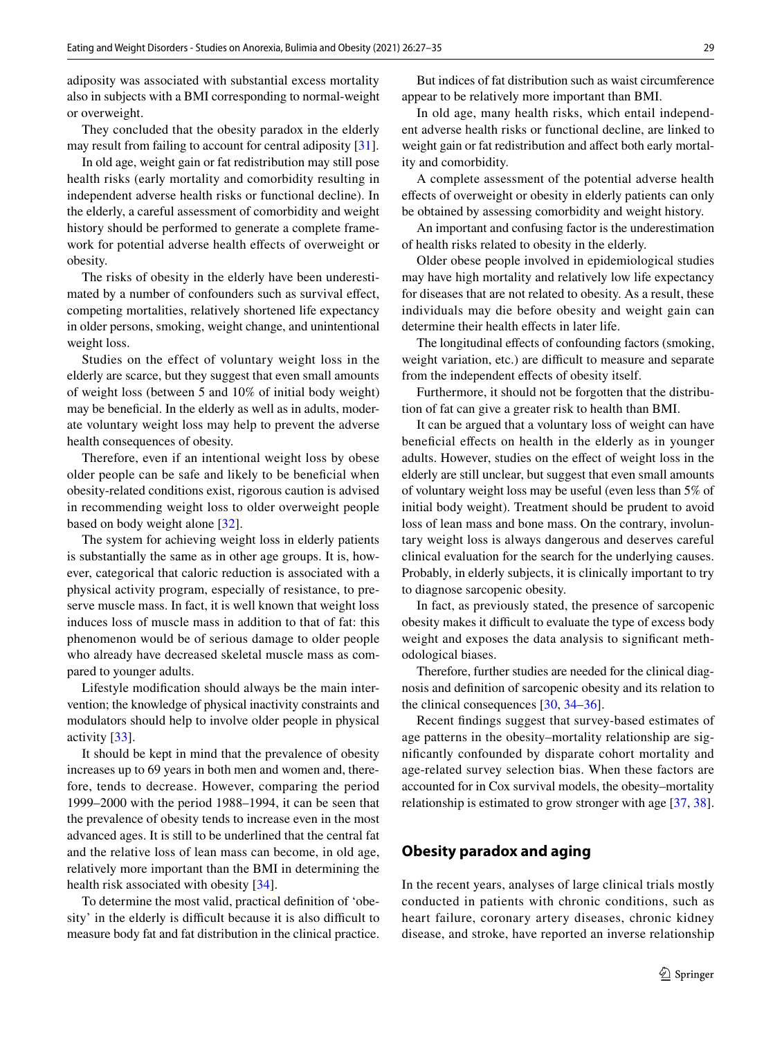adiposity was associated with substantial excess mortality also in subjects with a BMI corresponding to normal-weight or overweight.

They concluded that the obesity paradox in the elderly may result from failing to account for central adiposity [\[31](#page-7-23)].

In old age, weight gain or fat redistribution may still pose health risks (early mortality and comorbidity resulting in independent adverse health risks or functional decline). In the elderly, a careful assessment of comorbidity and weight history should be performed to generate a complete framework for potential adverse health effects of overweight or obesity.

The risks of obesity in the elderly have been underestimated by a number of confounders such as survival efect, competing mortalities, relatively shortened life expectancy in older persons, smoking, weight change, and unintentional weight loss.

Studies on the effect of voluntary weight loss in the elderly are scarce, but they suggest that even small amounts of weight loss (between 5 and 10% of initial body weight) may be benefcial. In the elderly as well as in adults, moderate voluntary weight loss may help to prevent the adverse health consequences of obesity.

Therefore, even if an intentional weight loss by obese older people can be safe and likely to be benefcial when obesity-related conditions exist, rigorous caution is advised in recommending weight loss to older overweight people based on body weight alone [\[32](#page-7-24)].

The system for achieving weight loss in elderly patients is substantially the same as in other age groups. It is, however, categorical that caloric reduction is associated with a physical activity program, especially of resistance, to preserve muscle mass. In fact, it is well known that weight loss induces loss of muscle mass in addition to that of fat: this phenomenon would be of serious damage to older people who already have decreased skeletal muscle mass as compared to younger adults.

Lifestyle modifcation should always be the main intervention; the knowledge of physical inactivity constraints and modulators should help to involve older people in physical activity [\[33](#page-7-25)].

It should be kept in mind that the prevalence of obesity increases up to 69 years in both men and women and, therefore, tends to decrease. However, comparing the period 1999–2000 with the period 1988–1994, it can be seen that the prevalence of obesity tends to increase even in the most advanced ages. It is still to be underlined that the central fat and the relative loss of lean mass can become, in old age, relatively more important than the BMI in determining the health risk associated with obesity [[34\]](#page-7-26).

To determine the most valid, practical defnition of 'obesity' in the elderly is difficult because it is also difficult to measure body fat and fat distribution in the clinical practice.

But indices of fat distribution such as waist circumference appear to be relatively more important than BMI.

In old age, many health risks, which entail independent adverse health risks or functional decline, are linked to weight gain or fat redistribution and afect both early mortality and comorbidity.

A complete assessment of the potential adverse health efects of overweight or obesity in elderly patients can only be obtained by assessing comorbidity and weight history.

An important and confusing factor is the underestimation of health risks related to obesity in the elderly.

Older obese people involved in epidemiological studies may have high mortality and relatively low life expectancy for diseases that are not related to obesity. As a result, these individuals may die before obesity and weight gain can determine their health effects in later life.

The longitudinal effects of confounding factors (smoking, weight variation, etc.) are difficult to measure and separate from the independent effects of obesity itself.

Furthermore, it should not be forgotten that the distribution of fat can give a greater risk to health than BMI.

It can be argued that a voluntary loss of weight can have benefcial efects on health in the elderly as in younger adults. However, studies on the efect of weight loss in the elderly are still unclear, but suggest that even small amounts of voluntary weight loss may be useful (even less than 5% of initial body weight). Treatment should be prudent to avoid loss of lean mass and bone mass. On the contrary, involuntary weight loss is always dangerous and deserves careful clinical evaluation for the search for the underlying causes. Probably, in elderly subjects, it is clinically important to try to diagnose sarcopenic obesity.

In fact, as previously stated, the presence of sarcopenic obesity makes it difficult to evaluate the type of excess body weight and exposes the data analysis to signifcant methodological biases.

Therefore, further studies are needed for the clinical diagnosis and defnition of sarcopenic obesity and its relation to the clinical consequences [[30,](#page-7-22) [34–](#page-7-26)[36\]](#page-7-27).

Recent fndings suggest that survey-based estimates of age patterns in the obesity–mortality relationship are signifcantly confounded by disparate cohort mortality and age-related survey selection bias. When these factors are accounted for in Cox survival models, the obesity–mortality relationship is estimated to grow stronger with age [\[37,](#page-7-28) [38](#page-7-29)].

# **Obesity paradox and aging**

In the recent years, analyses of large clinical trials mostly conducted in patients with chronic conditions, such as heart failure, coronary artery diseases, chronic kidney disease, and stroke, have reported an inverse relationship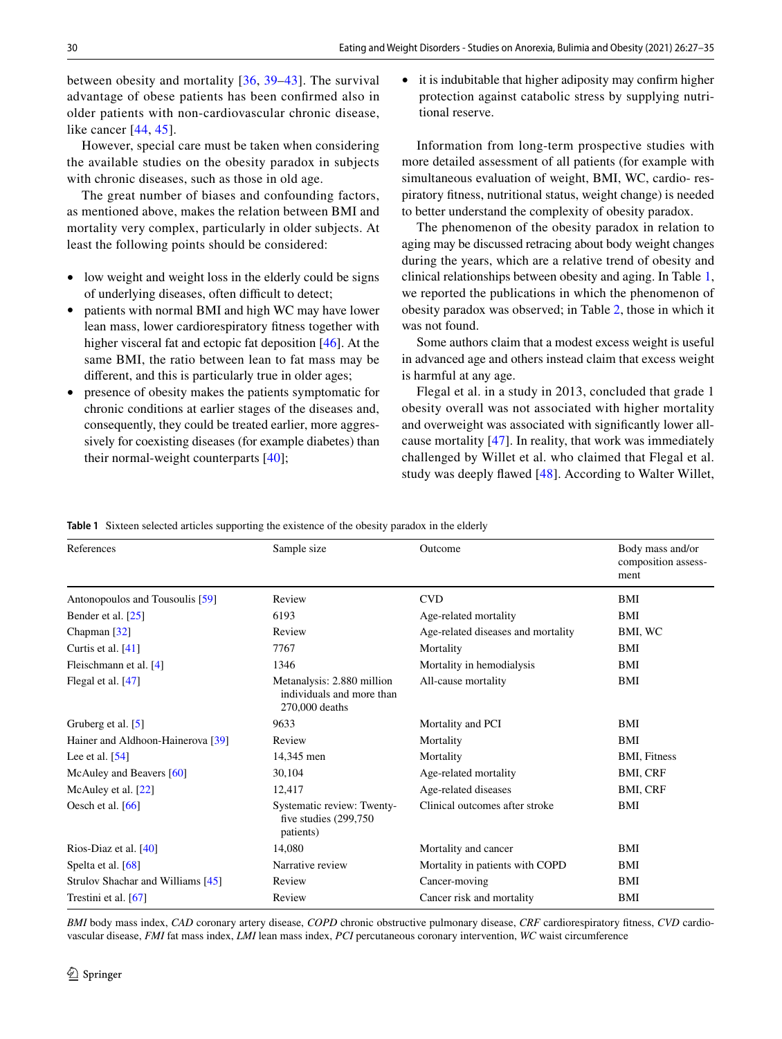between obesity and mortality [[36](#page-7-27), [39–](#page-7-30)[43](#page-8-0)]. The survival advantage of obese patients has been confrmed also in older patients with non-cardiovascular chronic disease, like cancer [[44,](#page-8-1) [45\]](#page-8-2).

However, special care must be taken when considering the available studies on the obesity paradox in subjects with chronic diseases, such as those in old age.

The great number of biases and confounding factors, as mentioned above, makes the relation between BMI and mortality very complex, particularly in older subjects. At least the following points should be considered:

- low weight and weight loss in the elderly could be signs of underlying diseases, often difficult to detect;
- patients with normal BMI and high WC may have lower lean mass, lower cardiorespiratory ftness together with higher visceral fat and ectopic fat deposition [\[46](#page-8-3)]. At the same BMI, the ratio between lean to fat mass may be diferent, and this is particularly true in older ages;
- presence of obesity makes the patients symptomatic for chronic conditions at earlier stages of the diseases and, consequently, they could be treated earlier, more aggressively for coexisting diseases (for example diabetes) than their normal-weight counterparts [[40\]](#page-7-31);

• it is indubitable that higher adiposity may confrm higher protection against catabolic stress by supplying nutritional reserve.

Information from long-term prospective studies with more detailed assessment of all patients (for example with simultaneous evaluation of weight, BMI, WC, cardio- respiratory ftness, nutritional status, weight change) is needed to better understand the complexity of obesity paradox.

The phenomenon of the obesity paradox in relation to aging may be discussed retracing about body weight changes during the years, which are a relative trend of obesity and clinical relationships between obesity and aging. In Table [1,](#page-3-0) we reported the publications in which the phenomenon of obesity paradox was observed; in Table [2,](#page-4-0) those in which it was not found.

Some authors claim that a modest excess weight is useful in advanced age and others instead claim that excess weight is harmful at any age.

Flegal et al. in a study in 2013, concluded that grade 1 obesity overall was not associated with higher mortality and overweight was associated with signifcantly lower allcause mortality [[47](#page-8-4)]. In reality, that work was immediately challenged by Willet et al. who claimed that Flegal et al. study was deeply fawed [\[48\]](#page-8-5). According to Walter Willet,

<span id="page-3-0"></span>**Table 1** Sixteen selected articles supporting the existence of the obesity paradox in the elderly

| References                        | Sample size                                                               | Outcome                            | Body mass and/or<br>composition assess-<br>ment |
|-----------------------------------|---------------------------------------------------------------------------|------------------------------------|-------------------------------------------------|
| Antonopoulos and Tousoulis [59]   | Review                                                                    | <b>CVD</b>                         | BMI                                             |
| Bender et al. [25]                | 6193                                                                      | Age-related mortality              | BMI                                             |
| Chapman [32]                      | Review                                                                    | Age-related diseases and mortality | BMI, WC                                         |
| Curtis et al. [41]                | 7767                                                                      | Mortality                          | BMI                                             |
| Fleischmann et al. [4]            | 1346                                                                      | Mortality in hemodialysis          | BMI                                             |
| Flegal et al. $[47]$              | Metanalysis: 2.880 million<br>individuals and more than<br>270,000 deaths | All-cause mortality                | BMI                                             |
| Gruberg et al. [5]                | 9633                                                                      | Mortality and PCI                  | <b>BMI</b>                                      |
| Hainer and Aldhoon-Hainerova [39] | Review                                                                    | Mortality                          | <b>BMI</b>                                      |
| Lee et al. $[54]$                 | 14,345 men                                                                | Mortality                          | <b>BMI, Fitness</b>                             |
| McAuley and Beavers [60]          | 30,104                                                                    | Age-related mortality              | <b>BMI, CRF</b>                                 |
| McAuley et al. $[22]$             | 12,417                                                                    | Age-related diseases               | BMI, CRF                                        |
| Oesch et al. $[66]$               | Systematic review: Twenty-<br>five studies $(299,750)$<br>patients)       | Clinical outcomes after stroke     | BMI                                             |
| Rios-Diaz et al. $[40]$           | 14,080                                                                    | Mortality and cancer               | BMI                                             |
| Spelta et al. [68]                | Narrative review                                                          | Mortality in patients with COPD    | BMI                                             |
| Strulov Shachar and Williams [45] | Review                                                                    | Cancer-moving                      | BMI                                             |
| Trestini et al. $[67]$            | Review                                                                    | Cancer risk and mortality          | BMI                                             |

*BMI* body mass index, *CAD* coronary artery disease, *COPD* chronic obstructive pulmonary disease, *CRF* cardiorespiratory ftness, *CVD* cardiovascular disease, *FMI* fat mass index, *LMI* lean mass index, *PCI* percutaneous coronary intervention, *WC* waist circumference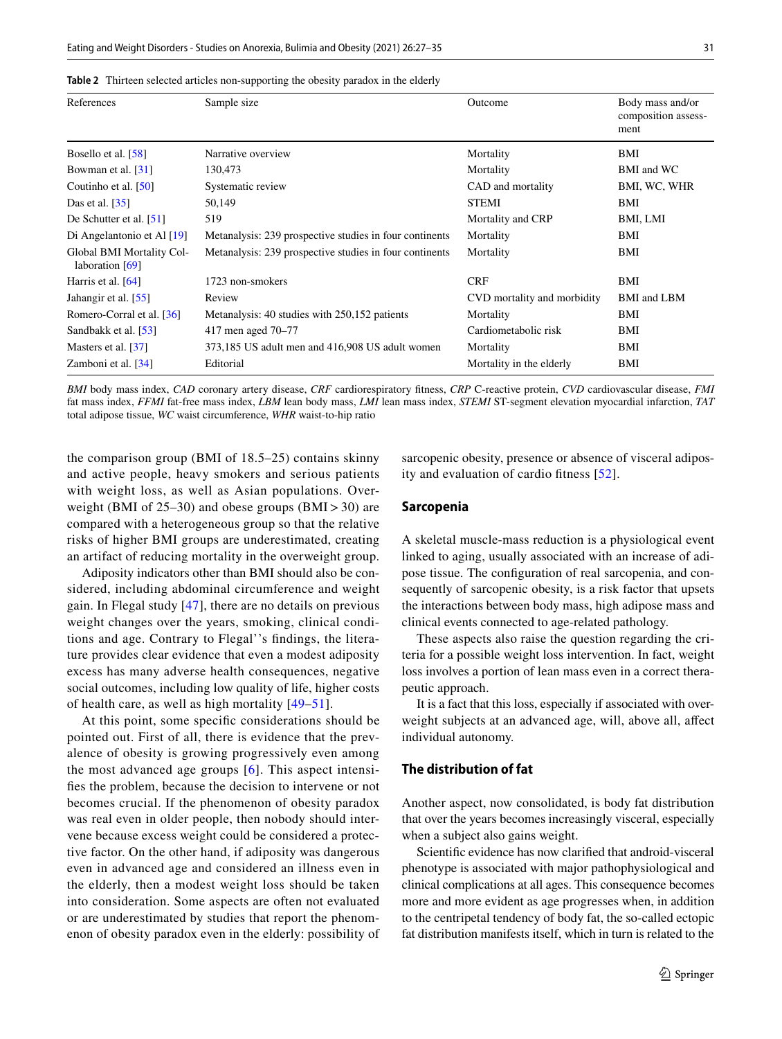| References                                   | Sample size                                             | Outcome                     | Body mass and/or<br>composition assess-<br>ment |
|----------------------------------------------|---------------------------------------------------------|-----------------------------|-------------------------------------------------|
| Bosello et al. [58]                          | Narrative overview                                      | Mortality                   | BMI                                             |
| Bowman et al. [31]                           | 130,473                                                 | Mortality                   | BMI and WC                                      |
| Coutinho et al. [50]                         | Systematic review                                       | CAD and mortality           | BMI, WC, WHR                                    |
| Das et al. [35]                              | 50,149                                                  | <b>STEMI</b>                | BMI                                             |
| De Schutter et al. [51]                      | 519                                                     | Mortality and CRP           | BMI, LMI                                        |
| Di Angelantonio et Al [19]                   | Metanalysis: 239 prospective studies in four continents | Mortality                   | BMI                                             |
| Global BMI Mortality Col-<br>laboration [69] | Metanalysis: 239 prospective studies in four continents | Mortality                   | BMI                                             |
| Harris et al. [64]                           | 1723 non-smokers                                        | <b>CRF</b>                  | BMI                                             |
| Jahangir et al. [55]                         | Review                                                  | CVD mortality and morbidity | <b>BMI</b> and LBM                              |
| Romero-Corral et al. [36]                    | Metanalysis: 40 studies with 250,152 patients           | Mortality                   | BMI                                             |
| Sandbakk et al. [53]                         | 417 men aged 70–77                                      | Cardiometabolic risk        | BMI                                             |
| Masters et al. [37]                          | 373,185 US adult men and 416,908 US adult women         | Mortality                   | BMI                                             |
| Zamboni et al. [34]                          | Editorial                                               | Mortality in the elderly    | BMI                                             |
|                                              |                                                         |                             |                                                 |

<span id="page-4-0"></span>**Table 2** Thirteen selected articles non-supporting the obesity paradox in the elderly

*BMI* body mass index, *CAD* coronary artery disease, *CRF* cardiorespiratory ftness, *CRP* C-reactive protein, *CVD* cardiovascular disease, *FMI* fat mass index, *FFMI* fat-free mass index, *LBM* lean body mass, *LMI* lean mass index, *STEMI* ST-segment elevation myocardial infarction, *TAT* total adipose tissue, *WC* waist circumference, *WHR* waist-to-hip ratio

the comparison group (BMI of 18.5–25) contains skinny and active people, heavy smokers and serious patients with weight loss, as well as Asian populations. Overweight (BMI of 25–30) and obese groups (BMI>30) are compared with a heterogeneous group so that the relative risks of higher BMI groups are underestimated, creating an artifact of reducing mortality in the overweight group.

Adiposity indicators other than BMI should also be considered, including abdominal circumference and weight gain. In Flegal study [\[47\]](#page-8-4), there are no details on previous weight changes over the years, smoking, clinical conditions and age. Contrary to Flegal''s fndings, the literature provides clear evidence that even a modest adiposity excess has many adverse health consequences, negative social outcomes, including low quality of life, higher costs of health care, as well as high mortality [[49](#page-8-12)–[51\]](#page-8-13).

At this point, some specifc considerations should be pointed out. First of all, there is evidence that the prevalence of obesity is growing progressively even among the most advanced age groups [[6](#page-7-3)]. This aspect intensifes the problem, because the decision to intervene or not becomes crucial. If the phenomenon of obesity paradox was real even in older people, then nobody should intervene because excess weight could be considered a protective factor. On the other hand, if adiposity was dangerous even in advanced age and considered an illness even in the elderly, then a modest weight loss should be taken into consideration. Some aspects are often not evaluated or are underestimated by studies that report the phenomenon of obesity paradox even in the elderly: possibility of sarcopenic obesity, presence or absence of visceral adiposity and evaluation of cardio ftness [[52](#page-8-14)].

#### **Sarcopenia**

A skeletal muscle-mass reduction is a physiological event linked to aging, usually associated with an increase of adipose tissue. The confguration of real sarcopenia, and consequently of sarcopenic obesity, is a risk factor that upsets the interactions between body mass, high adipose mass and clinical events connected to age-related pathology.

These aspects also raise the question regarding the criteria for a possible weight loss intervention. In fact, weight loss involves a portion of lean mass even in a correct therapeutic approach.

It is a fact that this loss, especially if associated with overweight subjects at an advanced age, will, above all, affect individual autonomy.

#### **The distribution of fat**

Another aspect, now consolidated, is body fat distribution that over the years becomes increasingly visceral, especially when a subject also gains weight.

Scientifc evidence has now clarifed that android-visceral phenotype is associated with major pathophysiological and clinical complications at all ages. This consequence becomes more and more evident as age progresses when, in addition to the centripetal tendency of body fat, the so-called ectopic fat distribution manifests itself, which in turn is related to the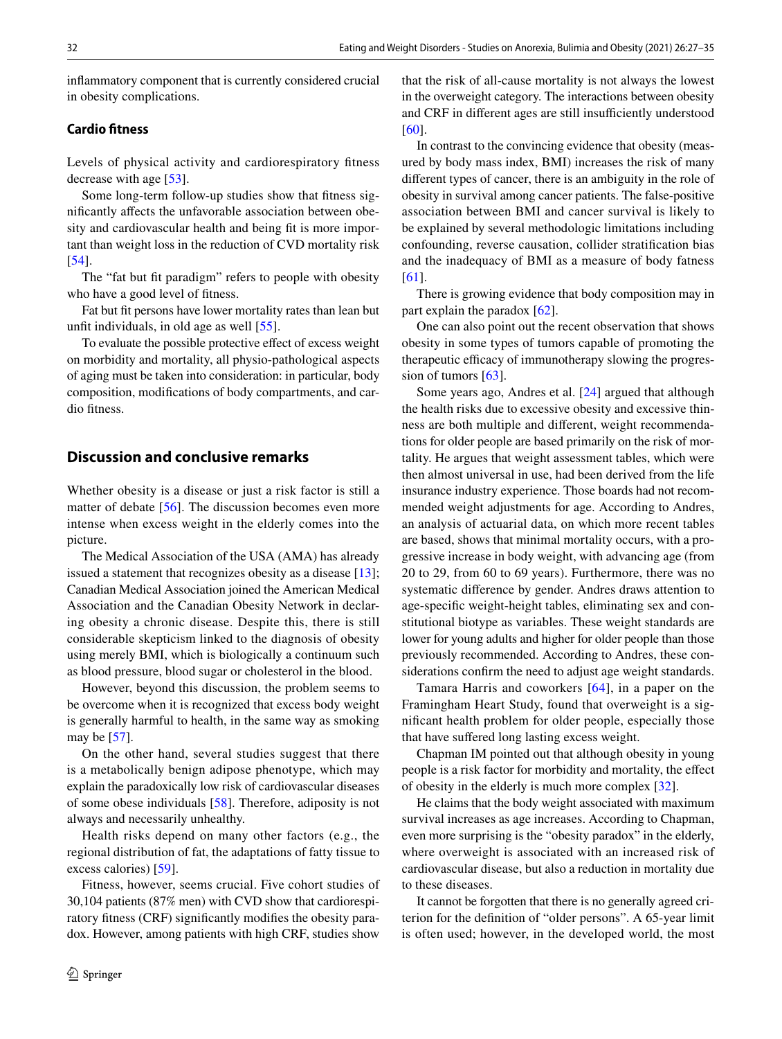infammatory component that is currently considered crucial in obesity complications.

# **Cardio ftness**

Levels of physical activity and cardiorespiratory ftness decrease with age [\[53\]](#page-8-20).

Some long-term follow-up studies show that ftness signifcantly afects the unfavorable association between obesity and cardiovascular health and being fit is more important than weight loss in the reduction of CVD mortality risk [\[54\]](#page-8-7).

The "fat but fit paradigm" refers to people with obesity who have a good level of ftness.

Fat but ft persons have lower mortality rates than lean but unft individuals, in old age as well [[55\]](#page-8-19).

To evaluate the possible protective efect of excess weight on morbidity and mortality, all physio-pathological aspects of aging must be taken into consideration: in particular, body composition, modifcations of body compartments, and cardio fitness.

### **Discussion and conclusive remarks**

Whether obesity is a disease or just a risk factor is still a matter of debate [[56\]](#page-8-21). The discussion becomes even more intense when excess weight in the elderly comes into the picture.

The Medical Association of the USA (AMA) has already issued a statement that recognizes obesity as a disease [[13](#page-7-6)]; Canadian Medical Association joined the American Medical Association and the Canadian Obesity Network in declaring obesity a chronic disease. Despite this, there is still considerable skepticism linked to the diagnosis of obesity using merely BMI, which is biologically a continuum such as blood pressure, blood sugar or cholesterol in the blood.

However, beyond this discussion, the problem seems to be overcome when it is recognized that excess body weight is generally harmful to health, in the same way as smoking may be [[57\]](#page-8-22).

On the other hand, several studies suggest that there is a metabolically benign adipose phenotype, which may explain the paradoxically low risk of cardiovascular diseases of some obese individuals [\[58](#page-8-15)]. Therefore, adiposity is not always and necessarily unhealthy.

Health risks depend on many other factors (e.g., the regional distribution of fat, the adaptations of fatty tissue to excess calories) [\[59](#page-8-6)].

Fitness, however, seems crucial. Five cohort studies of 30,104 patients (87% men) with CVD show that cardiorespiratory ftness (CRF) signifcantly modifes the obesity paradox. However, among patients with high CRF, studies show that the risk of all-cause mortality is not always the lowest in the overweight category. The interactions between obesity and CRF in different ages are still insufficiently understood [[60\]](#page-8-8).

In contrast to the convincing evidence that obesity (measured by body mass index, BMI) increases the risk of many diferent types of cancer, there is an ambiguity in the role of obesity in survival among cancer patients. The false-positive association between BMI and cancer survival is likely to be explained by several methodologic limitations including confounding, reverse causation, collider stratifcation bias and the inadequacy of BMI as a measure of body fatness [[61\]](#page-8-23).

There is growing evidence that body composition may in part explain the paradox [[62\]](#page-8-24).

One can also point out the recent observation that shows obesity in some types of tumors capable of promoting the therapeutic efficacy of immunotherapy slowing the progression of tumors [\[63](#page-8-25)].

Some years ago, Andres et al. [[24\]](#page-7-16) argued that although the health risks due to excessive obesity and excessive thinness are both multiple and diferent, weight recommendations for older people are based primarily on the risk of mortality. He argues that weight assessment tables, which were then almost universal in use, had been derived from the life insurance industry experience. Those boards had not recommended weight adjustments for age. According to Andres, an analysis of actuarial data, on which more recent tables are based, shows that minimal mortality occurs, with a progressive increase in body weight, with advancing age (from 20 to 29, from 60 to 69 years). Furthermore, there was no systematic diference by gender. Andres draws attention to age-specifc weight-height tables, eliminating sex and constitutional biotype as variables. These weight standards are lower for young adults and higher for older people than those previously recommended. According to Andres, these considerations confrm the need to adjust age weight standards.

Tamara Harris and coworkers [[64](#page-8-18)], in a paper on the Framingham Heart Study, found that overweight is a signifcant health problem for older people, especially those that have sufered long lasting excess weight.

Chapman IM pointed out that although obesity in young people is a risk factor for morbidity and mortality, the efect of obesity in the elderly is much more complex [\[32\]](#page-7-24).

He claims that the body weight associated with maximum survival increases as age increases. According to Chapman, even more surprising is the "obesity paradox" in the elderly, where overweight is associated with an increased risk of cardiovascular disease, but also a reduction in mortality due to these diseases.

It cannot be forgotten that there is no generally agreed criterion for the defnition of "older persons". A 65-year limit is often used; however, in the developed world, the most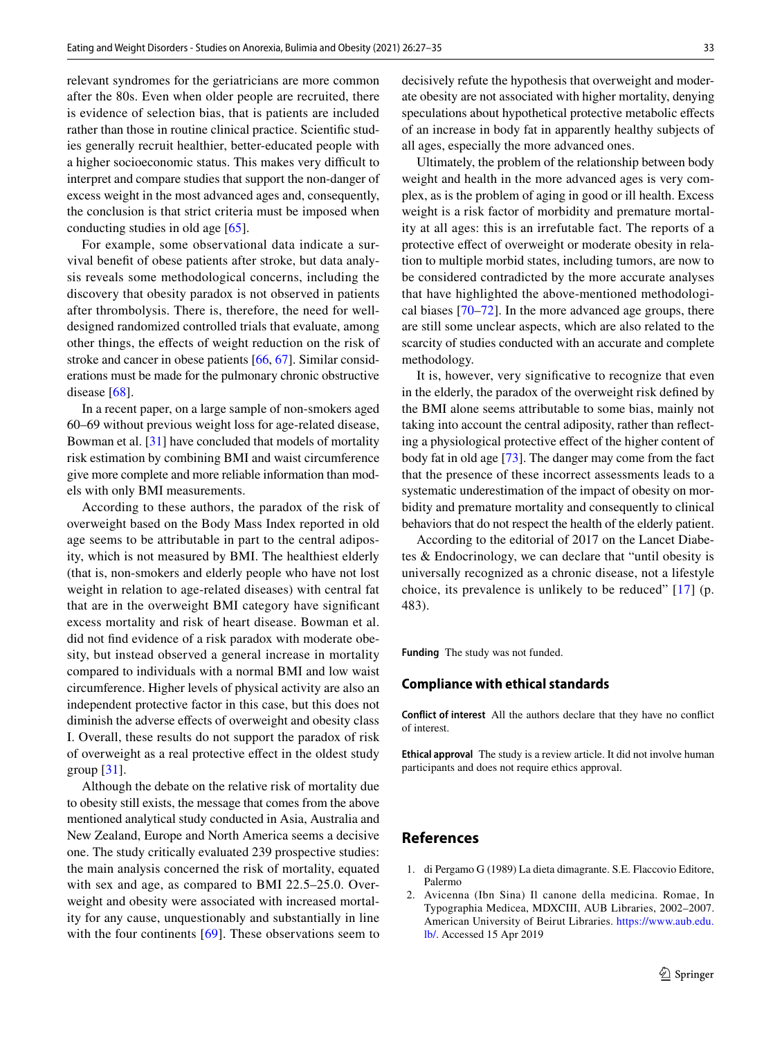relevant syndromes for the geriatricians are more common after the 80s. Even when older people are recruited, there is evidence of selection bias, that is patients are included rather than those in routine clinical practice. Scientifc studies generally recruit healthier, better-educated people with a higher socioeconomic status. This makes very difficult to interpret and compare studies that support the non-danger of excess weight in the most advanced ages and, consequently, the conclusion is that strict criteria must be imposed when conducting studies in old age [\[65](#page-8-26)].

For example, some observational data indicate a survival beneft of obese patients after stroke, but data analysis reveals some methodological concerns, including the discovery that obesity paradox is not observed in patients after thrombolysis. There is, therefore, the need for welldesigned randomized controlled trials that evaluate, among other things, the efects of weight reduction on the risk of stroke and cancer in obese patients [[66,](#page-8-9) [67\]](#page-8-11). Similar considerations must be made for the pulmonary chronic obstructive disease [\[68](#page-8-10)].

In a recent paper, on a large sample of non-smokers aged 60–69 without previous weight loss for age-related disease, Bowman et al. [[31\]](#page-7-23) have concluded that models of mortality risk estimation by combining BMI and waist circumference give more complete and more reliable information than models with only BMI measurements.

According to these authors, the paradox of the risk of overweight based on the Body Mass Index reported in old age seems to be attributable in part to the central adiposity, which is not measured by BMI. The healthiest elderly (that is, non-smokers and elderly people who have not lost weight in relation to age-related diseases) with central fat that are in the overweight BMI category have signifcant excess mortality and risk of heart disease. Bowman et al. did not fnd evidence of a risk paradox with moderate obesity, but instead observed a general increase in mortality compared to individuals with a normal BMI and low waist circumference. Higher levels of physical activity are also an independent protective factor in this case, but this does not diminish the adverse efects of overweight and obesity class I. Overall, these results do not support the paradox of risk of overweight as a real protective efect in the oldest study group  $[31]$ .

Although the debate on the relative risk of mortality due to obesity still exists, the message that comes from the above mentioned analytical study conducted in Asia, Australia and New Zealand, Europe and North America seems a decisive one. The study critically evaluated 239 prospective studies: the main analysis concerned the risk of mortality, equated with sex and age, as compared to BMI 22.5–25.0. Overweight and obesity were associated with increased mortality for any cause, unquestionably and substantially in line with the four continents [[69](#page-8-17)]. These observations seem to decisively refute the hypothesis that overweight and moderate obesity are not associated with higher mortality, denying speculations about hypothetical protective metabolic effects of an increase in body fat in apparently healthy subjects of all ages, especially the more advanced ones.

Ultimately, the problem of the relationship between body weight and health in the more advanced ages is very complex, as is the problem of aging in good or ill health. Excess weight is a risk factor of morbidity and premature mortality at all ages: this is an irrefutable fact. The reports of a protective efect of overweight or moderate obesity in relation to multiple morbid states, including tumors, are now to be considered contradicted by the more accurate analyses that have highlighted the above-mentioned methodological biases [\[70](#page-8-27)[–72](#page-8-28)]. In the more advanced age groups, there are still some unclear aspects, which are also related to the scarcity of studies conducted with an accurate and complete methodology.

It is, however, very signifcative to recognize that even in the elderly, the paradox of the overweight risk defned by the BMI alone seems attributable to some bias, mainly not taking into account the central adiposity, rather than refecting a physiological protective efect of the higher content of body fat in old age [\[73](#page-8-29)]. The danger may come from the fact that the presence of these incorrect assessments leads to a systematic underestimation of the impact of obesity on morbidity and premature mortality and consequently to clinical behaviors that do not respect the health of the elderly patient.

According to the editorial of 2017 on the Lancet Diabetes & Endocrinology, we can declare that "until obesity is universally recognized as a chronic disease, not a lifestyle choice, its prevalence is unlikely to be reduced" [[17](#page-7-10)] (p. 483).

**Funding** The study was not funded.

#### **Compliance with ethical standards**

**Conflict of interest** All the authors declare that they have no confict of interest.

**Ethical approval** The study is a review article. It did not involve human participants and does not require ethics approval.

## **References**

- <span id="page-6-0"></span>1. di Pergamo G (1989) La dieta dimagrante. S.E. Flaccovio Editore, Palermo
- <span id="page-6-1"></span>2. Avicenna (Ibn Sina) Il canone della medicina. Romae, In Typographia Medicea, MDXCIII, AUB Libraries, 2002–2007. American University of Beirut Libraries. [https://www.aub.edu.](https://www.aub.edu.lb/) [lb/](https://www.aub.edu.lb/). Accessed 15 Apr 2019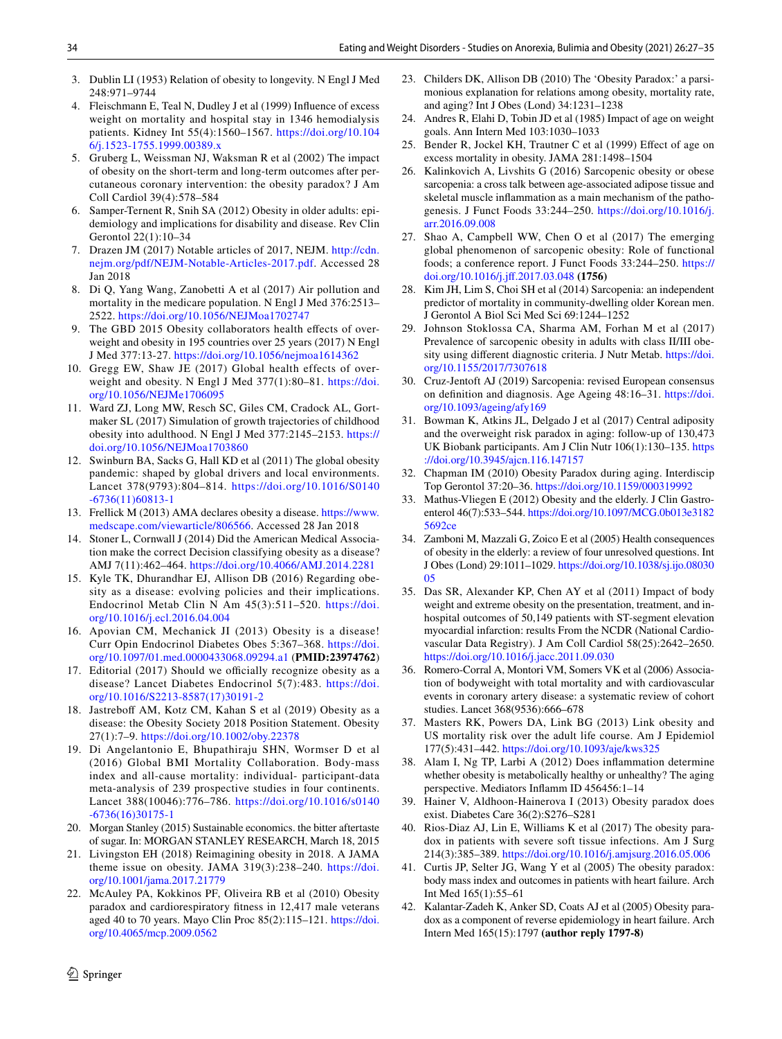- <span id="page-7-0"></span>3. Dublin LI (1953) Relation of obesity to longevity. N Engl J Med 248:971–9744
- <span id="page-7-1"></span>4. Fleischmann E, Teal N, Dudley J et al (1999) Infuence of excess weight on mortality and hospital stay in 1346 hemodialysis patients. Kidney Int 55(4):1560–1567. [https://doi.org/10.104](https://doi.org/10.1046/j.1523-1755.1999.00389.x) [6/j.1523-1755.1999.00389.x](https://doi.org/10.1046/j.1523-1755.1999.00389.x)
- <span id="page-7-2"></span>5. Gruberg L, Weissman NJ, Waksman R et al (2002) The impact of obesity on the short-term and long-term outcomes after percutaneous coronary intervention: the obesity paradox? J Am Coll Cardiol 39(4):578–584
- <span id="page-7-3"></span>6. Samper-Ternent R, Snih SA (2012) Obesity in older adults: epidemiology and implications for disability and disease. Rev Clin Gerontol 22(1):10–34
- <span id="page-7-4"></span>7. Drazen JM (2017) Notable articles of 2017, NEJM. [http://cdn.](http://cdn.nejm.org/pdf/NEJM-Notable-Articles-2017.pdf) [nejm.org/pdf/NEJM-Notable-Articles-2017.pdf](http://cdn.nejm.org/pdf/NEJM-Notable-Articles-2017.pdf). Accessed 28 Jan 2018
- 8. Di Q, Yang Wang, Zanobetti A et al (2017) Air pollution and mortality in the medicare population. N Engl J Med 376:2513– 2522.<https://doi.org/10.1056/NEJMoa1702747>
- 9. The GBD 2015 Obesity collaborators health effects of overweight and obesity in 195 countries over 25 years (2017) N Engl J Med 377:13-27. <https://doi.org/10.1056/nejmoa1614362>
- 10. Gregg EW, Shaw JE (2017) Global health effects of overweight and obesity. N Engl J Med 377(1):80–81. [https://doi.](https://doi.org/10.1056/NEJMe1706095) [org/10.1056/NEJMe1706095](https://doi.org/10.1056/NEJMe1706095)
- 11. Ward ZJ, Long MW, Resch SC, Giles CM, Cradock AL, Gortmaker SL (2017) Simulation of growth trajectories of childhood obesity into adulthood. N Engl J Med 377:2145–2153. [https://](https://doi.org/10.1056/NEJMoa1703860) [doi.org/10.1056/NEJMoa1703860](https://doi.org/10.1056/NEJMoa1703860)
- <span id="page-7-5"></span>12. Swinburn BA, Sacks G, Hall KD et al (2011) The global obesity pandemic: shaped by global drivers and local environments. Lancet 378(9793):804–814. [https://doi.org/10.1016/S0140](https://doi.org/10.1016/S0140-6736(11)60813-1) [-6736\(11\)60813-1](https://doi.org/10.1016/S0140-6736(11)60813-1)
- <span id="page-7-6"></span>13. Frellick M (2013) AMA declares obesity a disease. [https://www.](https://www.medscape.com/viewarticle/806566) [medscape.com/viewarticle/806566](https://www.medscape.com/viewarticle/806566). Accessed 28 Jan 2018
- <span id="page-7-7"></span>14. Stoner L, Cornwall J (2014) Did the American Medical Association make the correct Decision classifying obesity as a disease? AMJ 7(11):462–464. <https://doi.org/10.4066/AMJ.2014.2281>
- <span id="page-7-8"></span>15. Kyle TK, Dhurandhar EJ, Allison DB (2016) Regarding obesity as a disease: evolving policies and their implications. Endocrinol Metab Clin N Am 45(3):511–520. [https://doi.](https://doi.org/10.1016/j.ecl.2016.04.004) [org/10.1016/j.ecl.2016.04.004](https://doi.org/10.1016/j.ecl.2016.04.004)
- <span id="page-7-9"></span>16. Apovian CM, Mechanick JI (2013) Obesity is a disease! Curr Opin Endocrinol Diabetes Obes 5:367–368. [https://doi.](https://doi.org/10.1097/01.med.0000433068.09294.a1) [org/10.1097/01.med.0000433068.09294.a1](https://doi.org/10.1097/01.med.0000433068.09294.a1) (**PMID:23974762**)
- <span id="page-7-10"></span>17. Editorial (2017) Should we officially recognize obesity as a disease? Lancet Diabetes Endocrinol 5(7):483. [https://doi.](https://doi.org/10.1016/S2213-8587(17)30191-2) [org/10.1016/S2213-8587\(17\)30191-2](https://doi.org/10.1016/S2213-8587(17)30191-2)
- <span id="page-7-11"></span>18. Jastreboff AM, Kotz CM, Kahan S et al (2019) Obesity as a disease: the Obesity Society 2018 Position Statement. Obesity 27(1):7–9.<https://doi.org/10.1002/oby.22378>
- <span id="page-7-12"></span>19. Di Angelantonio E, Bhupathiraju SHN, Wormser D et al (2016) Global BMI Mortality Collaboration. Body-mass index and all-cause mortality: individual- participant-data meta-analysis of 239 prospective studies in four continents. Lancet 388(10046):776–786. [https://doi.org/10.1016/s0140](https://doi.org/10.1016/s0140-6736(16)30175-1) [-6736\(16\)30175-1](https://doi.org/10.1016/s0140-6736(16)30175-1)
- <span id="page-7-13"></span>20. Morgan Stanley (2015) Sustainable economics. the bitter aftertaste of sugar. In: MORGAN STANLEY RESEARCH, March 18, 2015
- <span id="page-7-14"></span>21. Livingston EH (2018) Reimagining obesity in 2018. A JAMA theme issue on obesity. JAMA 319(3):238–240. [https://doi.](https://doi.org/10.1001/jama.2017.21779) [org/10.1001/jama.2017.21779](https://doi.org/10.1001/jama.2017.21779)
- <span id="page-7-15"></span>22. McAuley PA, Kokkinos PF, Oliveira RB et al (2010) Obesity paradox and cardiorespiratory ftness in 12,417 male veterans aged 40 to 70 years. Mayo Clin Proc 85(2):115–121. [https://doi.](https://doi.org/10.4065/mcp.2009.0562) [org/10.4065/mcp.2009.0562](https://doi.org/10.4065/mcp.2009.0562)
- 23. Childers DK, Allison DB (2010) The 'Obesity Paradox:' a parsimonious explanation for relations among obesity, mortality rate, and aging? Int J Obes (Lond) 34:1231–1238
- <span id="page-7-16"></span>24. Andres R, Elahi D, Tobin JD et al (1985) Impact of age on weight goals. Ann Intern Med 103:1030–1033
- <span id="page-7-17"></span>25. Bender R, Jockel KH, Trautner C et al (1999) Efect of age on excess mortality in obesity. JAMA 281:1498–1504
- <span id="page-7-18"></span>26. Kalinkovich A, Livshits G (2016) Sarcopenic obesity or obese sarcopenia: a cross talk between age-associated adipose tissue and skeletal muscle infammation as a main mechanism of the pathogenesis. J Funct Foods 33:244–250. [https://doi.org/10.1016/j.](https://doi.org/10.1016/j.arr.2016.09.008) [arr.2016.09.008](https://doi.org/10.1016/j.arr.2016.09.008)
- <span id="page-7-19"></span>27. Shao A, Campbell WW, Chen O et al (2017) The emerging global phenomenon of sarcopenic obesity: Role of functional foods; a conference report. J Funct Foods 33:244–250. [https://](https://doi.org/10.1016/j.jff.2017.03.048) [doi.org/10.1016/j.jf.2017.03.048](https://doi.org/10.1016/j.jff.2017.03.048) **(1756)**
- <span id="page-7-20"></span>28. Kim JH, Lim S, Choi SH et al (2014) Sarcopenia: an independent predictor of mortality in community-dwelling older Korean men. J Gerontol A Biol Sci Med Sci 69:1244–1252
- <span id="page-7-21"></span>29. Johnson Stoklossa CA, Sharma AM, Forhan M et al (2017) Prevalence of sarcopenic obesity in adults with class II/III obesity using diferent diagnostic criteria. J Nutr Metab. [https://doi.](https://doi.org/10.1155/2017/7307618) [org/10.1155/2017/7307618](https://doi.org/10.1155/2017/7307618)
- <span id="page-7-22"></span>30. Cruz-Jentoft AJ (2019) Sarcopenia: revised European consensus on defnition and diagnosis. Age Ageing 48:16–31. [https://doi.](https://doi.org/10.1093/ageing/afy169) [org/10.1093/ageing/afy169](https://doi.org/10.1093/ageing/afy169)
- <span id="page-7-23"></span>31. Bowman K, Atkins JL, Delgado J et al (2017) Central adiposity and the overweight risk paradox in aging: follow-up of 130,473 UK Biobank participants. Am J Clin Nutr 106(1):130–135. [https](https://doi.org/10.3945/ajcn.116.147157) [://doi.org/10.3945/ajcn.116.147157](https://doi.org/10.3945/ajcn.116.147157)
- <span id="page-7-24"></span>32. Chapman IM (2010) Obesity Paradox during aging. Interdiscip Top Gerontol 37:20–36.<https://doi.org/10.1159/000319992>
- <span id="page-7-25"></span>33. Mathus-Vliegen E (2012) Obesity and the elderly. J Clin Gastroenterol 46(7):533–544. [https://doi.org/10.1097/MCG.0b013e3182](https://doi.org/10.1097/MCG.0b013e31825692ce) [5692ce](https://doi.org/10.1097/MCG.0b013e31825692ce)
- <span id="page-7-26"></span>34. Zamboni M, Mazzali G, Zoico E et al (2005) Health consequences of obesity in the elderly: a review of four unresolved questions. Int J Obes (Lond) 29:1011–1029. [https://doi.org/10.1038/sj.ijo.08030](https://doi.org/10.1038/sj.ijo.0803005) [05](https://doi.org/10.1038/sj.ijo.0803005)
- <span id="page-7-33"></span>35. Das SR, Alexander KP, Chen AY et al (2011) Impact of body weight and extreme obesity on the presentation, treatment, and inhospital outcomes of 50,149 patients with ST-segment elevation myocardial infarction: results From the NCDR (National Cardiovascular Data Registry). J Am Coll Cardiol 58(25):2642–2650. <https://doi.org/10.1016/j.jacc.2011.09.030>
- <span id="page-7-27"></span>36. Romero-Corral A, Montori VM, Somers VK et al (2006) Association of bodyweight with total mortality and with cardiovascular events in coronary artery disease: a systematic review of cohort studies. Lancet 368(9536):666–678
- <span id="page-7-28"></span>37. Masters RK, Powers DA, Link BG (2013) Link obesity and US mortality risk over the adult life course. Am J Epidemiol 177(5):431–442. <https://doi.org/10.1093/aje/kws325>
- <span id="page-7-29"></span>38. Alam I, Ng TP, Larbi A (2012) Does infammation determine whether obesity is metabolically healthy or unhealthy? The aging perspective. Mediators Infamm ID 456456:1–14
- <span id="page-7-30"></span>39. Hainer V, Aldhoon-Hainerova I (2013) Obesity paradox does exist. Diabetes Care 36(2):S276–S281
- <span id="page-7-31"></span>40. Rios-Diaz AJ, Lin E, Williams K et al (2017) The obesity paradox in patients with severe soft tissue infections. Am J Surg 214(3):385–389. <https://doi.org/10.1016/j.amjsurg.2016.05.006>
- <span id="page-7-32"></span>41. Curtis JP, Selter JG, Wang Y et al (2005) The obesity paradox: body mass index and outcomes in patients with heart failure. Arch Int Med 165(1):55–61
- 42. Kalantar-Zadeh K, Anker SD, Coats AJ et al (2005) Obesity paradox as a component of reverse epidemiology in heart failure. Arch Intern Med 165(15):1797 **(author reply 1797-8)**